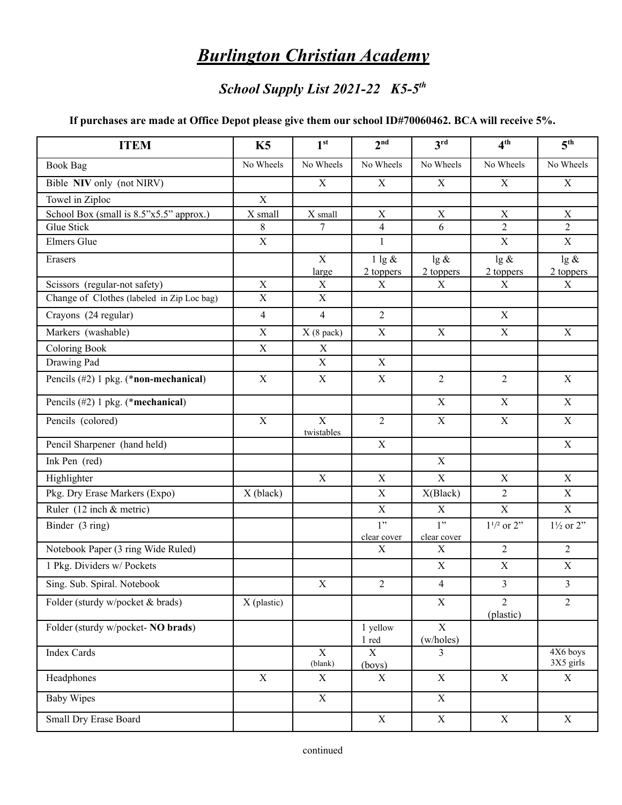## *Burlington Christian Academy*

## *School Supply List 2021-22 K5-5 th*

## **If purchases are made at Office Depot please give them our school ID#70060462. BCA will receive 5%.**

| <b>ITEM</b>                                | K5             | 1 <sup>st</sup>              | 2 <sup>nd</sup>             | 3 <sup>rd</sup>             | 4 <sup>th</sup>             | 5 <sup>th</sup>                  |
|--------------------------------------------|----------------|------------------------------|-----------------------------|-----------------------------|-----------------------------|----------------------------------|
| <b>Book Bag</b>                            | No Wheels      | No Wheels                    | No Wheels                   | No Wheels                   | No Wheels                   | No Wheels                        |
| Bible NIV only (not NIRV)                  |                | $\mathbf X$                  | X                           | $\mathbf X$                 | $\mathbf X$                 | $\mathbf X$                      |
| Towel in Ziploc                            | $\mathbf X$    |                              |                             |                             |                             |                                  |
| School Box (small is 8.5"x5.5" approx.)    | X small        | X small                      | $\mathbf X$                 | $\mathbf X$                 | $\mathbf X$                 | $\mathbf X$                      |
| Glue Stick                                 | 8              | $\overline{7}$               | 4                           | 6                           | $\overline{2}$              | $\overline{2}$                   |
| Elmers Glue                                | $\mathbf X$    |                              | $\mathbf{1}$                |                             | $\mathbf X$                 | $\mathbf X$                      |
| Erasers                                    |                | $\mathbf X$<br>large         | $1$ lg $\&$<br>2 toppers    | $lg \&$<br>2 toppers        | $lg \&$<br>2 toppers        | $\lg \overline{\&}$<br>2 toppers |
| Scissors (regular-not safety)              | $\mathbf X$    | X                            | X                           | X                           | X                           | X                                |
| Change of Clothes (labeled in Zip Loc bag) | $\mathbf X$    | $\mathbf X$                  |                             |                             |                             |                                  |
| Crayons (24 regular)                       | $\overline{4}$ | $\overline{4}$               | $\overline{2}$              |                             | $\mathbf X$                 |                                  |
| Markers (washable)                         | $\mathbf X$    | $X(8$ pack)                  | $\mathbf X$                 | $\mathbf X$                 | $\mathbf X$                 | $\mathbf X$                      |
| <b>Coloring Book</b>                       | X              | $\mathbf X$                  |                             |                             |                             |                                  |
| Drawing Pad                                |                | $\mathbf X$                  | $\mathbf X$                 |                             |                             |                                  |
| Pencils (#2) 1 pkg. (*non-mechanical)      | $\mathbf X$    | X                            | $\mathbf X$                 | $\overline{2}$              | $\overline{2}$              | $\mathbf X$                      |
| Pencils (#2) 1 pkg. (*mechanical)          |                |                              |                             | $\mathbf X$                 | $\mathbf X$                 | $\mathbf X$                      |
| Pencils (colored)                          | $\mathbf X$    | $\overline{X}$<br>twistables | $\overline{2}$              | $\mathbf X$                 | $\mathbf X$                 | $\mathbf X$                      |
| Pencil Sharpener (hand held)               |                |                              | $\mathbf X$                 |                             |                             | $\mathbf X$                      |
| Ink Pen (red)                              |                |                              |                             | $\mathbf X$                 |                             |                                  |
| Highlighter                                |                | $\mathbf X$                  | $\overline{X}$              | $\overline{\mathbf{X}}$     | $\mathbf X$                 | $\mathbf X$                      |
| Pkg. Dry Erase Markers (Expo)              | X (black)      |                              | X                           | X(Black)                    | $\overline{2}$              | $\mathbf X$                      |
| Ruler $(12$ inch & metric)                 |                |                              | $\mathbf X$                 | X                           | $\overline{X}$              | $\mathbf X$                      |
| Binder (3 ring)                            |                |                              | 1"<br>clear cover           | 1"<br>clear cover           | $1^{1/2}$ or $2"$           | $1\frac{1}{2}$ or $2$ "          |
| Notebook Paper (3 ring Wide Ruled)         |                |                              | X                           | X                           | $\overline{2}$              | $\overline{2}$                   |
| 1 Pkg. Dividers w/ Pockets                 |                |                              |                             | $\boldsymbol{\mathrm{X}}$   | $\mathbf X$                 | $\mathbf X$                      |
| Sing. Sub. Spiral. Notebook                |                | X                            | $\overline{c}$              | $\overline{4}$              | $\mathfrak{Z}$              | $\mathfrak{Z}$                   |
| Folder (sturdy w/pocket & brads)           | X (plastic)    |                              |                             | $\mathbf X$                 | $\overline{2}$<br>(plastic) | $\overline{2}$                   |
| Folder (sturdy w/pocket- NO brads)         |                |                              | 1 yellow<br>$1 \text{ red}$ | $\overline{X}$<br>(w/holes) |                             |                                  |
| <b>Index Cards</b>                         |                | $\mathbf X$<br>(blank)       | X<br>(boys)                 | $\overline{3}$              |                             | 4X6 boys<br>3X5 girls            |
| Headphones                                 | $\mathbf X$    | $\boldsymbol{\mathrm{X}}$    | X                           | $\mathbf X$                 | $\mathbf X$                 | $\mathbf X$                      |
| <b>Baby Wipes</b>                          |                | $\overline{X}$               |                             | $\overline{X}$              |                             |                                  |
| <b>Small Dry Erase Board</b>               |                |                              | $\mathbf X$                 | $\mathbf X$                 | $\mathbf X$                 | $\mathbf X$                      |